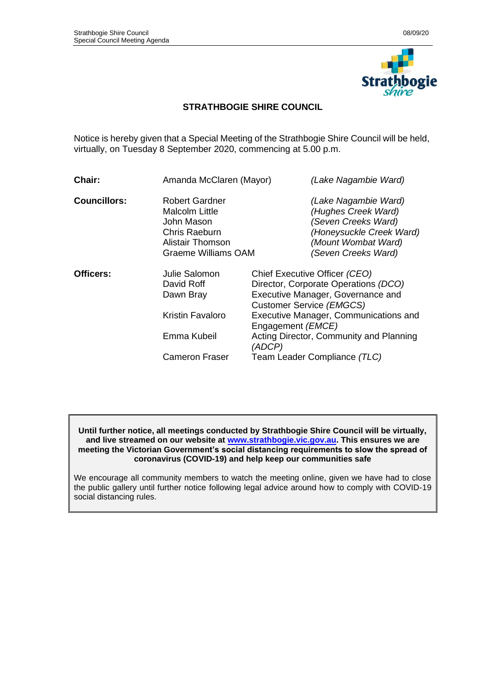

## **STRATHBOGIE SHIRE COUNCIL**

Notice is hereby given that a Special Meeting of the Strathbogie Shire Council will be held, virtually, on Tuesday 8 September 2020, commencing at 5.00 p.m.

| <b>Chair:</b>       | Amanda McClaren (Mayor)                                                                                                         | (Lake Nagambie Ward)                                                                                                                         |  |  |
|---------------------|---------------------------------------------------------------------------------------------------------------------------------|----------------------------------------------------------------------------------------------------------------------------------------------|--|--|
| <b>Councillors:</b> | <b>Robert Gardner</b><br>Malcolm Little<br>John Mason<br><b>Chris Raeburn</b><br><b>Alistair Thomson</b><br>Graeme Williams OAM | (Lake Nagambie Ward)<br>(Hughes Creek Ward)<br>(Seven Creeks Ward)<br>(Honeysuckle Creek Ward)<br>(Mount Wombat Ward)<br>(Seven Creeks Ward) |  |  |
|                     |                                                                                                                                 |                                                                                                                                              |  |  |
| Officers:           | Julie Salomon<br>David Roff<br>Dawn Bray                                                                                        | Chief Executive Officer (CEO)<br>Director, Corporate Operations (DCO)<br>Executive Manager, Governance and<br>Customer Service (EMGCS)       |  |  |
|                     | <b>Kristin Favaloro</b>                                                                                                         | Executive Manager, Communications and<br>Engagement (EMCE)                                                                                   |  |  |
|                     | Emma Kubeil                                                                                                                     | Acting Director, Community and Planning<br>(ADCP)                                                                                            |  |  |
|                     | <b>Cameron Fraser</b>                                                                                                           | Team Leader Compliance (TLC)                                                                                                                 |  |  |

#### **Until further notice, all meetings conducted by Strathbogie Shire Council will be virtually, and live streamed on our website at [www.strathbogie.vic.gov.au.](http://www.strathbogie.vic.gov.au/) This ensures we are meeting the Victorian Government's social distancing requirements to slow the spread of coronavirus (COVID-19) and help keep our communities safe**

We encourage all community members to watch the meeting online, given we have had to close the public gallery until further notice following legal advice around how to comply with COVID-19 social distancing rules.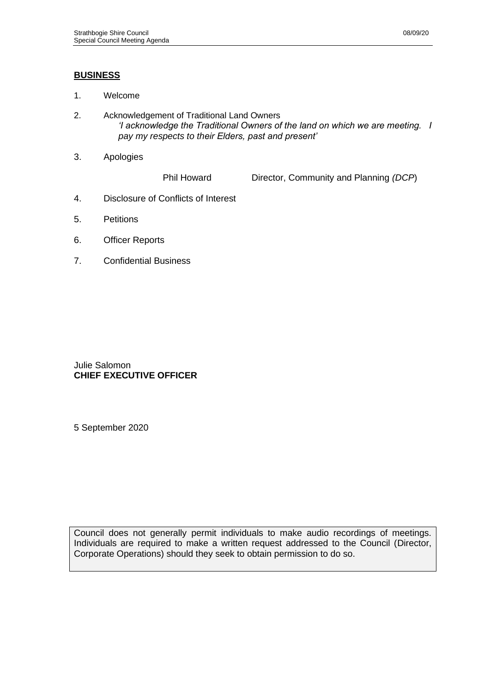## **BUSINESS**

- 1. Welcome
- 2. Acknowledgement of Traditional Land Owners *'I acknowledge the Traditional Owners of the land on which we are meeting. I pay my respects to their Elders, past and present'*
- 3. Apologies

Phil Howard Director, Community and Planning *(DCP*)

- 4. Disclosure of Conflicts of Interest
- 5. Petitions
- 6. Officer Reports
- 7. Confidential Business

Julie Salomon **CHIEF EXECUTIVE OFFICER**

5 September 2020

Council does not generally permit individuals to make audio recordings of meetings. Individuals are required to make a written request addressed to the Council (Director, Corporate Operations) should they seek to obtain permission to do so.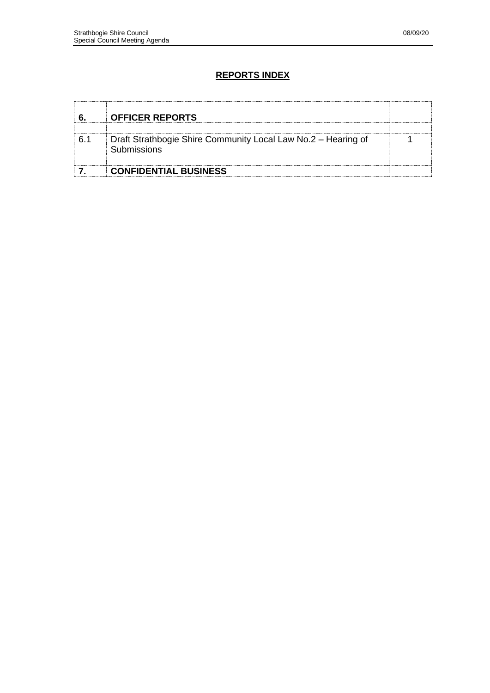## **REPORTS INDEX**

| <b>OFFICER REPORTS</b>                                                       |  |
|------------------------------------------------------------------------------|--|
| Draft Strathbogie Shire Community Local Law No.2 - Hearing of<br>Submissions |  |
| <b>CONFIDENTIAL BUSINESS</b>                                                 |  |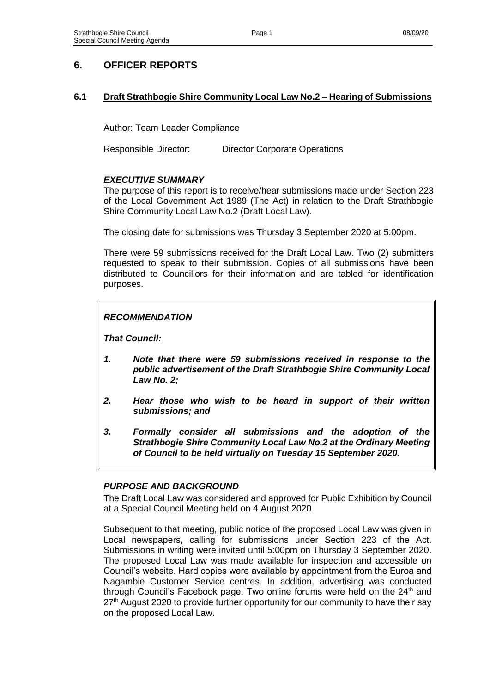# **6. OFFICER REPORTS**

## **6.1 Draft Strathbogie Shire Community Local Law No.2 – Hearing of Submissions**

Author: Team Leader Compliance

Responsible Director: Director Corporate Operations

## *EXECUTIVE SUMMARY*

The purpose of this report is to receive/hear submissions made under Section 223 of the Local Government Act 1989 (The Act) in relation to the Draft Strathbogie Shire Community Local Law No.2 (Draft Local Law).

The closing date for submissions was Thursday 3 September 2020 at 5:00pm.

There were 59 submissions received for the Draft Local Law. Two (2) submitters requested to speak to their submission. Copies of all submissions have been distributed to Councillors for their information and are tabled for identification purposes.

## *RECOMMENDATION*

*That Council:*

- *1. Note that there were 59 submissions received in response to the public advertisement of the Draft Strathbogie Shire Community Local Law No. 2;*
- *2. Hear those who wish to be heard in support of their written submissions; and*
- *3. Formally consider all submissions and the adoption of the Strathbogie Shire Community Local Law No.2 at the Ordinary Meeting of Council to be held virtually on Tuesday 15 September 2020.*

## *PURPOSE AND BACKGROUND*

The Draft Local Law was considered and approved for Public Exhibition by Council at a Special Council Meeting held on 4 August 2020.

Subsequent to that meeting, public notice of the proposed Local Law was given in Local newspapers, calling for submissions under Section 223 of the Act. Submissions in writing were invited until 5:00pm on Thursday 3 September 2020. The proposed Local Law was made available for inspection and accessible on Council's website. Hard copies were available by appointment from the Euroa and Nagambie Customer Service centres. In addition, advertising was conducted through Council's Facebook page. Two online forums were held on the 24<sup>th</sup> and 27<sup>th</sup> August 2020 to provide further opportunity for our community to have their say on the proposed Local Law.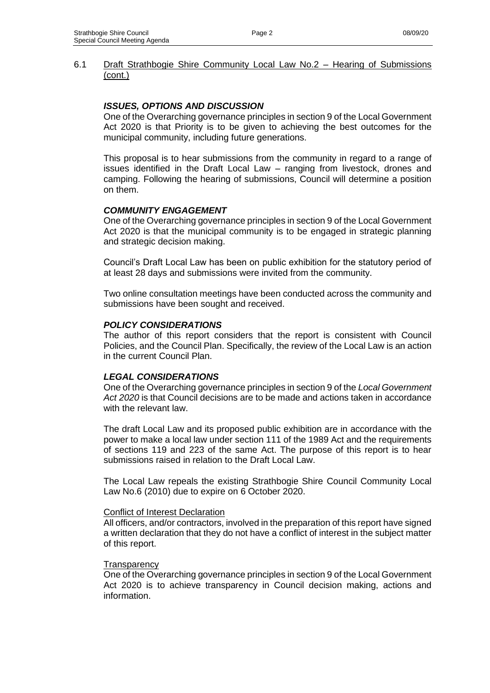### 6.1 Draft Strathbogie Shire Community Local Law No.2 – Hearing of Submissions (cont.)

## *ISSUES, OPTIONS AND DISCUSSION*

One of the Overarching governance principles in section 9 of the Local Government Act 2020 is that Priority is to be given to achieving the best outcomes for the municipal community, including future generations.

This proposal is to hear submissions from the community in regard to a range of issues identified in the Draft Local Law – ranging from livestock, drones and camping. Following the hearing of submissions, Council will determine a position on them.

### *COMMUNITY ENGAGEMENT*

One of the Overarching governance principles in section 9 of the Local Government Act 2020 is that the municipal community is to be engaged in strategic planning and strategic decision making.

Council's Draft Local Law has been on public exhibition for the statutory period of at least 28 days and submissions were invited from the community.

Two online consultation meetings have been conducted across the community and submissions have been sought and received.

#### *POLICY CONSIDERATIONS*

The author of this report considers that the report is consistent with Council Policies, and the Council Plan. Specifically, the review of the Local Law is an action in the current Council Plan.

#### *LEGAL CONSIDERATIONS*

One of the Overarching governance principles in section 9 of the *Local Government Act 2020* is that Council decisions are to be made and actions taken in accordance with the relevant law.

The draft Local Law and its proposed public exhibition are in accordance with the power to make a local law under section 111 of the 1989 Act and the requirements of sections 119 and 223 of the same Act. The purpose of this report is to hear submissions raised in relation to the Draft Local Law.

The Local Law repeals the existing Strathbogie Shire Council Community Local Law No.6 (2010) due to expire on 6 October 2020.

#### Conflict of Interest Declaration

All officers, and/or contractors, involved in the preparation of this report have signed a written declaration that they do not have a conflict of interest in the subject matter of this report.

#### **Transparency**

One of the Overarching governance principles in section 9 of the Local Government Act 2020 is to achieve transparency in Council decision making, actions and information.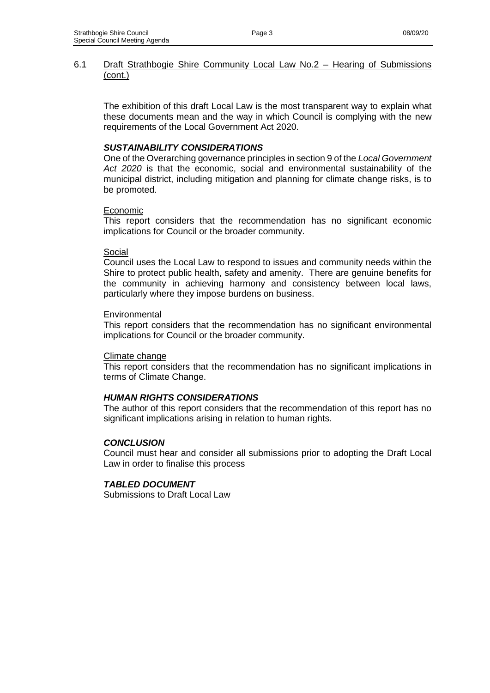### 6.1 Draft Strathbogie Shire Community Local Law No.2 – Hearing of Submissions (cont.)

The exhibition of this draft Local Law is the most transparent way to explain what these documents mean and the way in which Council is complying with the new requirements of the Local Government Act 2020.

## *SUSTAINABILITY CONSIDERATIONS*

One of the Overarching governance principles in section 9 of the *Local Government Act 2020* is that the economic, social and environmental sustainability of the municipal district, including mitigation and planning for climate change risks, is to be promoted.

### **Economic**

This report considers that the recommendation has no significant economic implications for Council or the broader community.

#### Social

Council uses the Local Law to respond to issues and community needs within the Shire to protect public health, safety and amenity. There are genuine benefits for the community in achieving harmony and consistency between local laws, particularly where they impose burdens on business.

### **Environmental**

This report considers that the recommendation has no significant environmental implications for Council or the broader community.

#### Climate change

This report considers that the recommendation has no significant implications in terms of Climate Change.

#### *HUMAN RIGHTS CONSIDERATIONS*

The author of this report considers that the recommendation of this report has no significant implications arising in relation to human rights.

## *CONCLUSION*

Council must hear and consider all submissions prior to adopting the Draft Local Law in order to finalise this process

## *TABLED DOCUMENT*

Submissions to Draft Local Law